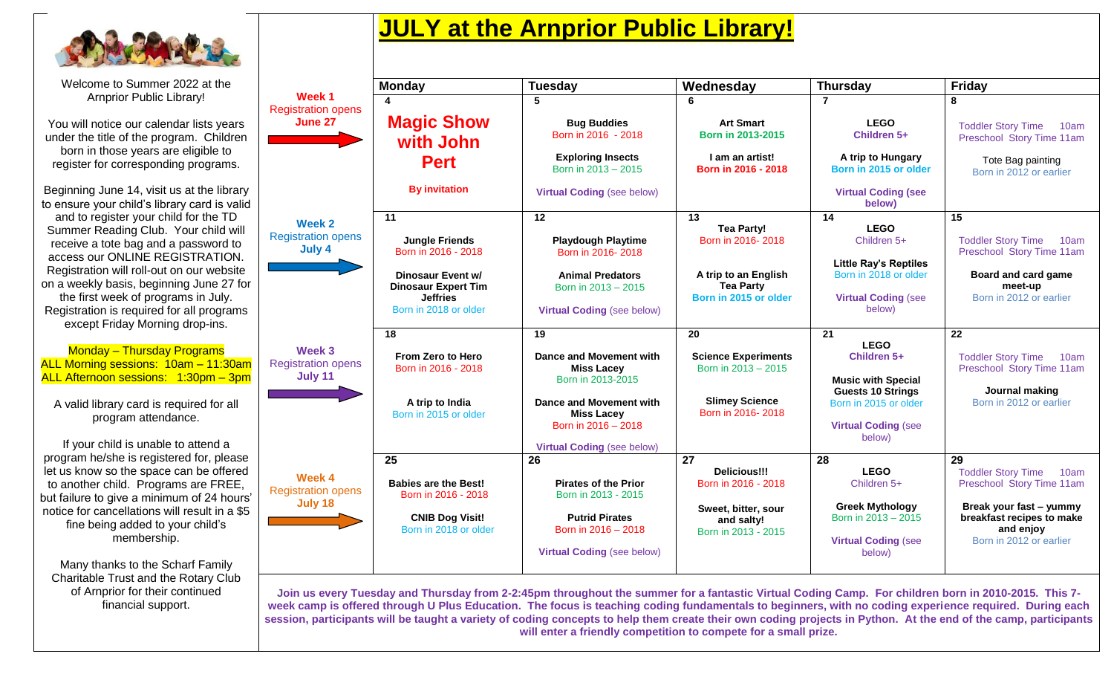

Welcome to Summer 2022 at the Arnprior Public Library! You will notice our calendar lists years under the title of the program. Children born in those years are eligible to

register for corresponding programs.

Beginning June 14, visit us at the library to ensure your child's library card is valid and to register your child for the TD Summer Reading Club. Your child will receive a tote bag and a password to access our ONLINE REGISTRATION. Registration will roll-out on our website on a weekly basis, beginning June 27 for the first week of programs in July. Registration is required for all programs except Friday Morning drop-ins.

Monday – Thursday Programs ALL Morning sessions: 10am – 11:30am ALL Afternoon sessions: 1:30pm – 3pm

A valid library card is required for all program attendance.

If your child is unable to attend a program he/she is registered for, please let us know so the space can be offered to another child. Programs are FREE, but failure to give a minimum of 24 hours' notice for cancellations will result in a \$5 fine being added to your child's membership.

Many thanks to the Scharf Family Charitable Trust and the Rotary Club of Arnprior for their continued financial support.

## **JULY at the Arnprior Public Library!**

|                                                | <b>Monday</b>                                            | <b>Tuesday</b>                                                                    | Wednesday                                                | <b>Thursday</b>                                                                           | <b>Friday</b>                                                                                |
|------------------------------------------------|----------------------------------------------------------|-----------------------------------------------------------------------------------|----------------------------------------------------------|-------------------------------------------------------------------------------------------|----------------------------------------------------------------------------------------------|
| Week 1<br><b>Registration opens</b>            | 4                                                        | 5                                                                                 | 6                                                        | $\overline{7}$                                                                            | 8                                                                                            |
| June 27                                        | <b>Magic Show</b><br>with John                           | <b>Bug Buddies</b><br>Born in 2016 - 2018                                         | <b>Art Smart</b><br><b>Born in 2013-2015</b>             | <b>LEGO</b><br>Children 5+                                                                | <b>Toddler Story Time</b><br>10am<br>Preschool Story Time 11am                               |
|                                                | <b>Pert</b>                                              | <b>Exploring Insects</b><br>Born in 2013 - 2015                                   | I am an artist!<br>Born in 2016 - 2018                   | A trip to Hungary<br>Born in 2015 or older                                                | Tote Bag painting<br>Born in 2012 or earlier                                                 |
|                                                | <b>By invitation</b>                                     | <b>Virtual Coding (see below)</b>                                                 |                                                          | <b>Virtual Coding (see</b><br>below)                                                      |                                                                                              |
| Week 2                                         | 11                                                       | 12                                                                                | 13                                                       | 14                                                                                        | 15                                                                                           |
| <b>Registration opens</b><br>July 4            | <b>Jungle Friends</b><br>Born in 2016 - 2018             | <b>Playdough Playtime</b><br>Born in 2016-2018                                    | <b>Tea Party!</b><br>Born in 2016-2018                   | <b>LEGO</b><br>Children 5+                                                                | <b>Toddler Story Time</b><br>10am<br>Preschool Story Time 11am                               |
|                                                | Dinosaur Event w/<br><b>Dinosaur Expert Tim</b>          | <b>Animal Predators</b><br>Born in 2013 - 2015                                    | A trip to an English<br><b>Tea Party</b>                 | <b>Little Ray's Reptiles</b><br>Born in 2018 or older                                     | Board and card game<br>meet-up                                                               |
|                                                | <b>Jeffries</b><br>Born in 2018 or older                 | <b>Virtual Coding (see below)</b>                                                 | Born in 2015 or older                                    | <b>Virtual Coding (see</b><br>below)                                                      | Born in 2012 or earlier                                                                      |
|                                                | 18                                                       | 19                                                                                | $\overline{20}$                                          | 21                                                                                        | 22                                                                                           |
| Week 3<br><b>Registration opens</b><br>July 11 | From Zero to Hero<br>Born in 2016 - 2018                 | Dance and Movement with<br><b>Miss Lacey</b><br>Born in 2013-2015                 | <b>Science Experiments</b><br>Born in 2013 - 2015        | <b>LEGO</b><br>Children 5+<br><b>Music with Special</b>                                   | <b>Toddler Story Time</b><br>10am<br>Preschool Story Time 11am                               |
|                                                | A trip to India<br>Born in 2015 or older                 | Dance and Movement with<br><b>Miss Lacey</b><br>Born in 2016 - 2018               | <b>Slimey Science</b><br>Born in 2016-2018               | <b>Guests 10 Strings</b><br>Born in 2015 or older<br><b>Virtual Coding (see</b><br>below) | Journal making<br>Born in 2012 or earlier                                                    |
|                                                |                                                          | <b>Virtual Coding (see below)</b>                                                 |                                                          |                                                                                           |                                                                                              |
| Week 4<br><b>Registration opens</b>            | 25<br><b>Babies are the Best!</b><br>Born in 2016 - 2018 | 26<br><b>Pirates of the Prior</b><br>Born in 2013 - 2015                          | 27<br><b>Delicious!!!</b><br>Born in 2016 - 2018         | 28<br><b>LEGO</b><br>Children 5+                                                          | 29<br><b>Toddler Story Time</b><br>10am<br>Preschool Story Time 11am                         |
| July 18                                        | <b>CNIB Dog Visit!</b><br>Born in 2018 or older          | <b>Putrid Pirates</b><br>Born in 2016 - 2018<br><b>Virtual Coding (see below)</b> | Sweet, bitter, sour<br>and salty!<br>Born in 2013 - 2015 | <b>Greek Mythology</b><br>Born in 2013 - 2015<br><b>Virtual Coding (see</b><br>below)     | Break your fast - yummy<br>breakfast recipes to make<br>and enjoy<br>Born in 2012 or earlier |
|                                                |                                                          |                                                                                   |                                                          |                                                                                           |                                                                                              |

**Join us every Tuesday and Thursday from 2-2:45pm throughout the summer for a fantastic Virtual Coding Camp. For children born in 2010-2015. This 7 week camp is offered through U Plus Education. The focus is teaching coding fundamentals to beginners, with no coding experience required. During each session, participants will be taught a variety of coding concepts to help them create their own coding projects in Python. At the end of the camp, participants will enter a friendly competition to compete for a small prize.**